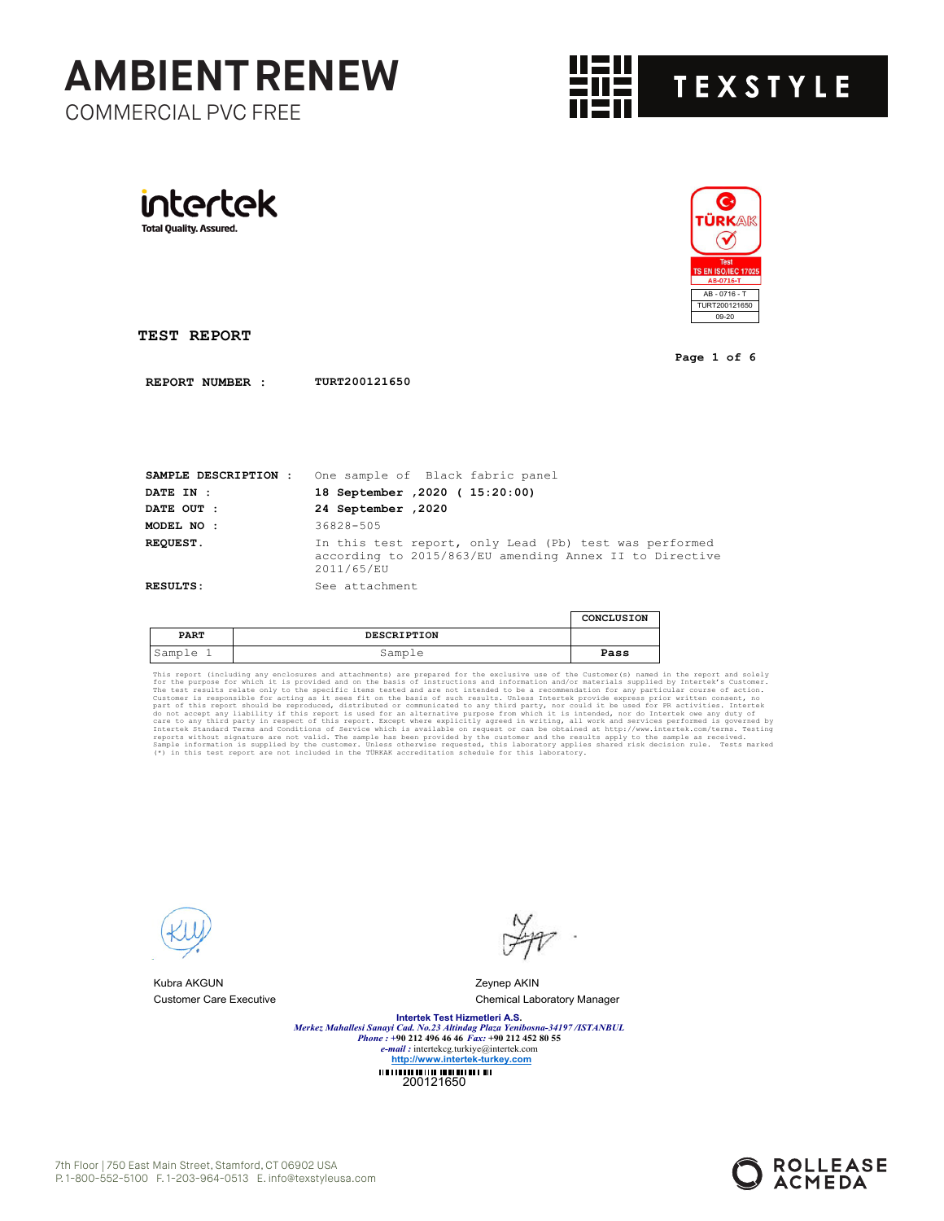



**Page 1 of 6**

**TEST REPORT**

intertek

**Total Quality. Assured.** 

**REPORT NUMBER : TURT200121650**

| SAMPLE DESCRIPTION : | One sample of Black fabric panel                                                                                                |
|----------------------|---------------------------------------------------------------------------------------------------------------------------------|
| <b>DATE IN :</b>     | 18 September , 2020 ( 15:20:00)                                                                                                 |
| DATE OUT :           | 24 September , 2020                                                                                                             |
| MODEL NO :           | 36828-505                                                                                                                       |
| <b>REOUEST.</b>      | In this test report, only Lead (Pb) test was performed<br>according to 2015/863/EU amending Annex II to Directive<br>2011/65/EU |
| <b>RESULTS:</b>      | See attachment                                                                                                                  |

|             |                    | CONCLUSION |
|-------------|--------------------|------------|
| <b>PART</b> | <b>DESCRIPTION</b> |            |
| 'Sample     | Sample             | Pass       |

This report (including any enclosures and attachments) are prepared for the exclusive use of the Customer(s) named in the epurpose for which it is provided and on the basis of instructions and information and/or materials



Kubra AKGUN Zeynep AKIN

Customer Care Executive Chemical Laboratory Manager

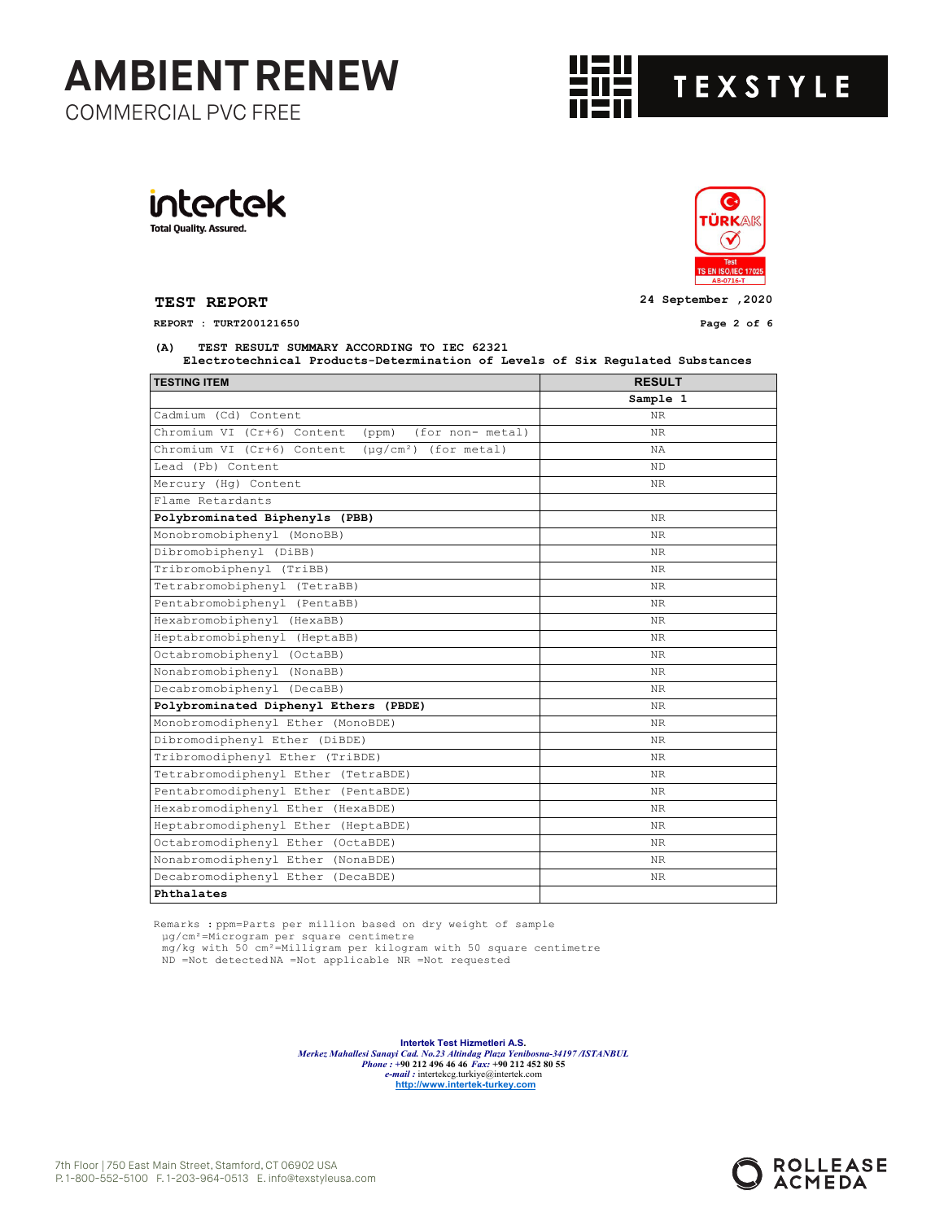

intertek **Total Quality. Assured.** 



**TEST REPORT 24 September ,2020**

**REPORT : TURT200121650 Page 2 of 6**

**(A) TEST RESULT SUMMARY ACCORDING TO IEC 62321**

 **Electrotechnical Products-Determination of Levels of Six Regulated Substances** 

| <b>TESTING ITEM</b>                                      | <b>RESULT</b> |
|----------------------------------------------------------|---------------|
|                                                          | Sample 1      |
| Cadmium (Cd) Content                                     | NR.           |
| Chromium VI (Cr+6) Content<br>(ppm)<br>(for non- metal)  | NR.           |
| Chromium VI (Cr+6) Content<br>$(\mu q/cm^2)$ (for metal) | NA.           |
| Lead (Pb) Content                                        | <b>ND</b>     |
| Mercury (Hq) Content                                     | NR.           |
| Flame Retardants                                         |               |
| Polybrominated Biphenyls (PBB)                           | NR.           |
| Monobromobiphenyl (MonoBB)                               | NR.           |
| Dibromobiphenyl (DiBB)                                   | NR.           |
| Tribromobiphenyl (TriBB)                                 | NR.           |
| Tetrabromobiphenyl (TetraBB)                             | NR.           |
| Pentabromobiphenyl (PentaBB)                             | NR.           |
| Hexabromobiphenyl (HexaBB)                               | NR.           |
| Heptabromobiphenyl (HeptaBB)                             | NR.           |
| Octabromobiphenyl (OctaBB)                               | NR.           |
| Nonabromobiphenyl (NonaBB)                               | NR.           |
| Decabromobiphenyl (DecaBB)                               | NR.           |
| Polybrominated Diphenyl Ethers (PBDE)                    | NR.           |
| Monobromodiphenyl Ether (MonoBDE)                        | NR.           |
| Dibromodiphenyl Ether (DiBDE)                            | NR.           |
| Tribromodiphenyl Ether (TriBDE)                          | NR.           |
| Tetrabromodiphenyl Ether (TetraBDE)                      | NR.           |
| Pentabromodiphenyl Ether (PentaBDE)                      | NR.           |
| Hexabromodiphenyl Ether (HexaBDE)                        | NR.           |
| Heptabromodiphenyl Ether (HeptaBDE)                      | NR.           |
| Octabromodiphenyl Ether (OctaBDE)                        | NR.           |
| Nonabromodiphenyl Ether (NonaBDE)                        | NR.           |
| Decabromodiphenyl Ether (DecaBDE)                        | NR.           |
| Phthalates                                               |               |

Remarks : ppm=Parts per million based on dry weight of sample

µg/cm²=Microgram per square centimetre mg/kg with 50 cm²=Milligram per kilogram with 50 square centimetre ND =Not detected NA =Not applicable NR =Not requested

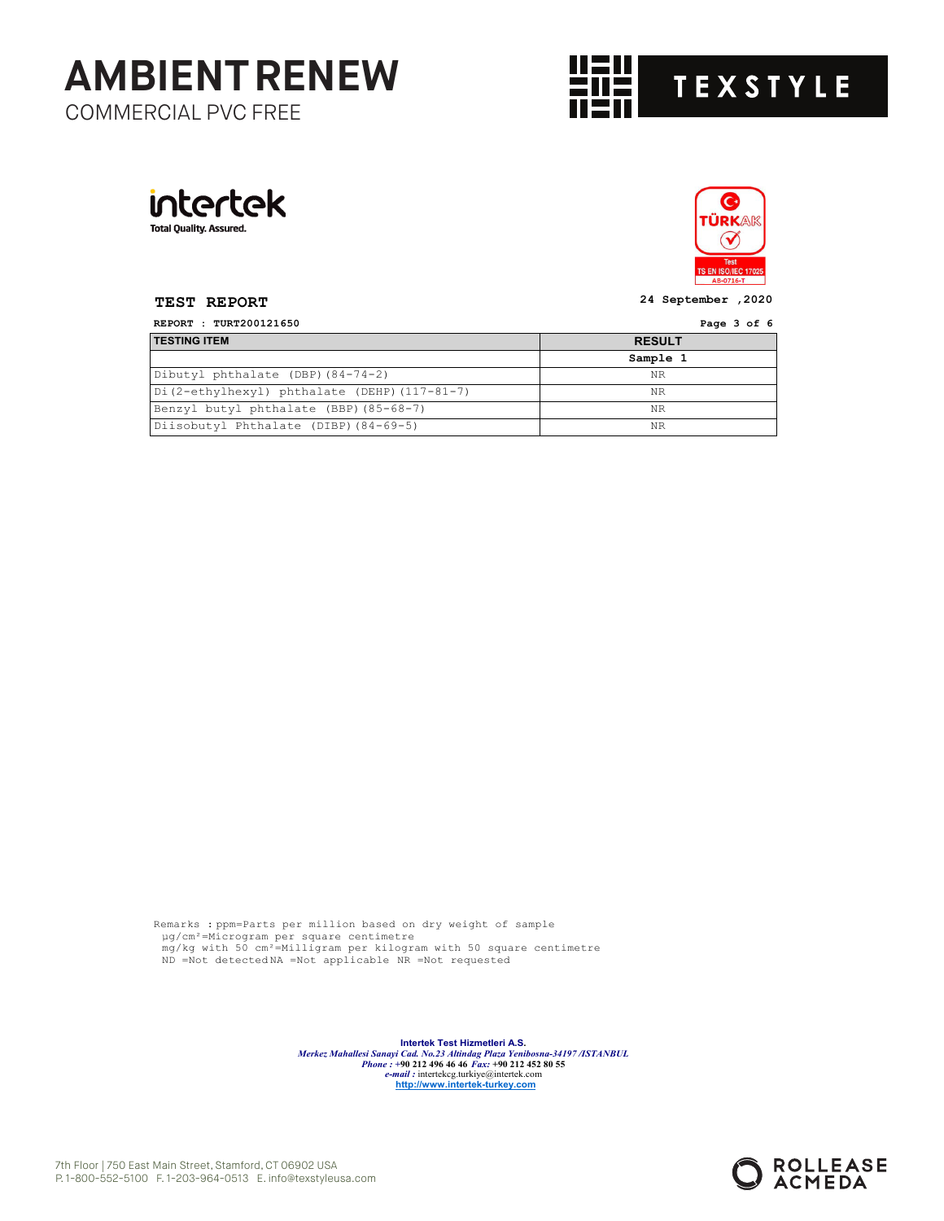





**TEST REPORT 24 September ,2020**

| REPORT : TURT200121650                      | Page 3 of 6   |  |
|---------------------------------------------|---------------|--|
| <b>TESTING ITEM</b>                         | <b>RESULT</b> |  |
|                                             | Sample 1      |  |
| Dibutyl phthalate (DBP) (84-74-2)           | NR            |  |
| Di(2-ethylhexyl) phthalate (DEHP)(117-81-7) | NR            |  |
| Benzyl butyl phthalate (BBP) (85-68-7)      | <b>NR</b>     |  |
| Diisobutyl Phthalate (DIBP) (84-69-5)       | NR            |  |

Remarks : ppm=Parts per million based on dry weight of sample µg/cm²=Microgram per square centimetre mg/kg with 50 cm²=Milligram per kilogram with 50 square centimetre ND =Not detected NA =Not applicable NR =Not requested

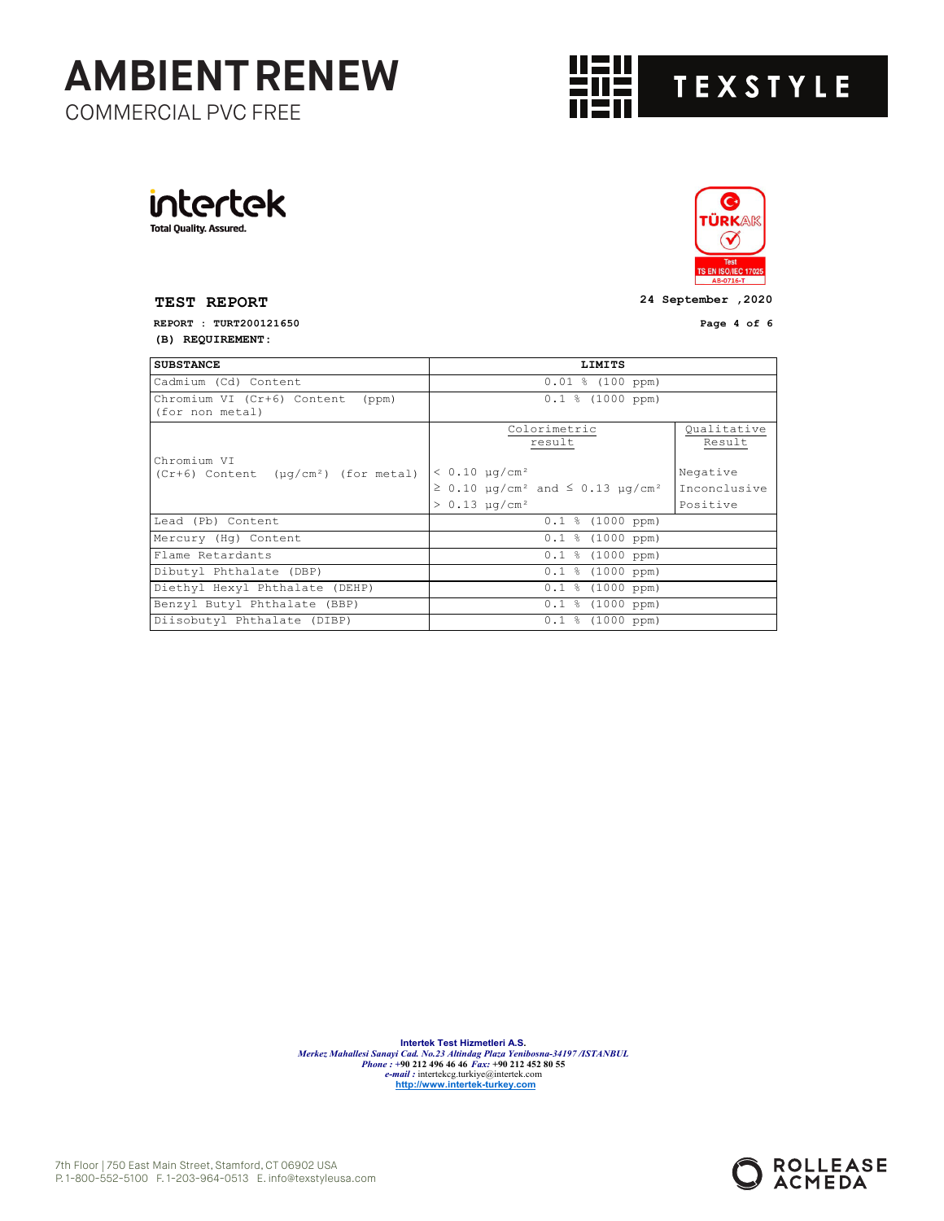

intertek **Total Quality. Assured.** 



**TEST REPORT 24 September ,2020**

**REPORT : TURT200121650 Page 4 of 6 (B) REQUIREMENT:**

| <b>SUBSTANCE</b>                                    | LIMITS                                                                                                          |                                      |  |
|-----------------------------------------------------|-----------------------------------------------------------------------------------------------------------------|--------------------------------------|--|
| Cadmium (Cd) Content                                | $0.01$ % (100 ppm)                                                                                              |                                      |  |
| Chromium VI (Cr+6) Content (ppm)<br>(for non metal) | $0.1$ % (1000 ppm)                                                                                              |                                      |  |
| Chromium VI                                         | Colorimetric<br>result                                                                                          | Qualitative<br>Result                |  |
| $(Cr+6)$ Content ( $\mu q/cm^2$ ) (for metal)       | $< 0.10 \mu q/cm^2$<br>$\geq$ 0.10 µq/cm <sup>2</sup> and $\leq$ 0.13 µq/cm <sup>2</sup><br>$> 0.13 \mu q/cm^2$ | Negative<br>Inconclusive<br>Positive |  |
| Lead (Pb) Content                                   | $0.1$ % (1000 ppm)                                                                                              |                                      |  |
| Mercury (Hq) Content                                | $0.1$ % (1000 ppm)                                                                                              |                                      |  |
| Flame Retardants                                    | $0.1$ % (1000 ppm)                                                                                              |                                      |  |
| Dibutyl Phthalate (DBP)                             | $0.1$ % (1000 ppm)                                                                                              |                                      |  |
| Diethyl Hexyl Phthalate (DEHP)                      | $0.1$ % (1000 ppm)                                                                                              |                                      |  |
| Benzyl Butyl Phthalate (BBP)                        | $0.1$ % (1000 ppm)                                                                                              |                                      |  |
| Diisobutyl Phthalate (DIBP)                         | $0.1$ % (1000 ppm)                                                                                              |                                      |  |

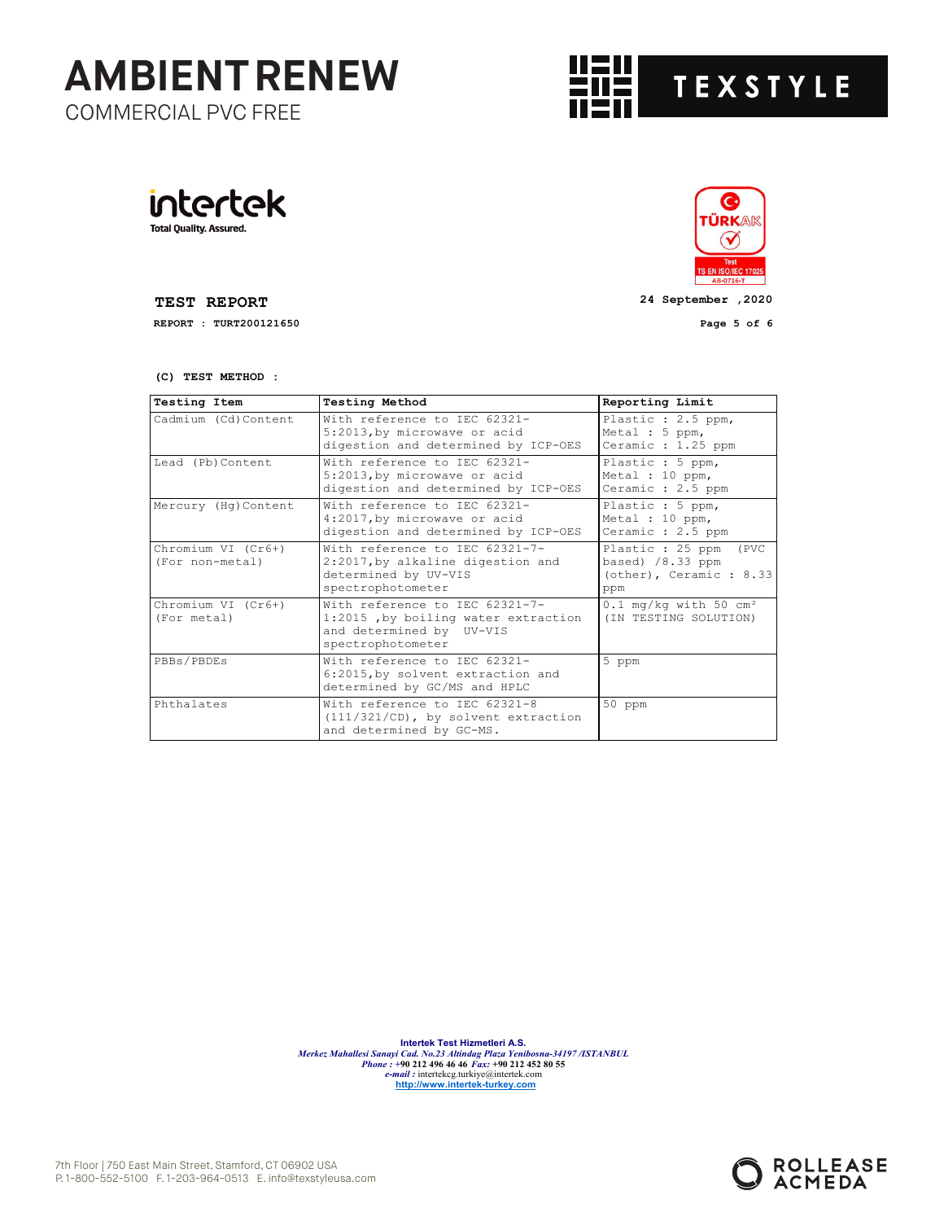





**TEST REPORT 24 September ,2020**

**REPORT : TURT200121650 Page 5 of 6**

 $\bullet$ ÜRKAK

> $\infty$ **Test**

**(C) TEST METHOD :**

| <b>Testing Item</b>                   | <b>Testing Method</b>                                                                                                  | Reporting Limit                                                                            |
|---------------------------------------|------------------------------------------------------------------------------------------------------------------------|--------------------------------------------------------------------------------------------|
| Cadmium (Cd) Content                  | With reference to TEC 62321-<br>5:2013, by microwave or acid<br>digestion and determined by ICP-OES                    | Plastic : 2.5 ppm,<br>Metal : 5 ppm,<br>Ceramic : 1.25 ppm                                 |
| Lead (Pb) Content                     | With reference to TEC 62321-<br>5:2013, by microwave or acid<br>digestion and determined by ICP-OES                    | Plastic : 5 ppm,<br>Metal : 10 ppm,<br>Ceramic : 2.5 ppm                                   |
| Mercury (Hq) Content                  | With reference to TEC 62321-<br>4:2017, by microwave or acid<br>digestion and determined by ICP-OES                    | Plastic : 5 ppm,<br>Metal : 10 ppm,<br>Ceramic : 2.5 ppm                                   |
| Chromium VI (Cr6+)<br>(For non-metal) | With reference to TEC 62321-7-<br>2:2017, by alkaline digestion and<br>determined by UV-VIS<br>spectrophotometer       | Plastic : 25 ppm<br>(PVC)<br>based) $/8.33$ ppm<br>$\text{(other)}$ , Ceramic: 8.33<br>ppm |
| Chromium VI (Cr6+)<br>(For metal)     | With reference to TEC 62321-7-<br>1:2015, by boiling water extraction<br>and determined by UV-VIS<br>spectrophotometer | $0.1$ mg/kg with 50 cm <sup>2</sup><br>(IN TESTING SOLUTION)                               |
| PBBs/PBDEs                            | With reference to IEC 62321-<br>6:2015, by solvent extraction and<br>determined by GC/MS and HPLC                      | 5 ppm                                                                                      |
| Phthalates                            | With reference to IEC 62321-8<br>$(111/321/CD)$ , by solvent extraction<br>and determined by GC-MS.                    | 50 ppm                                                                                     |